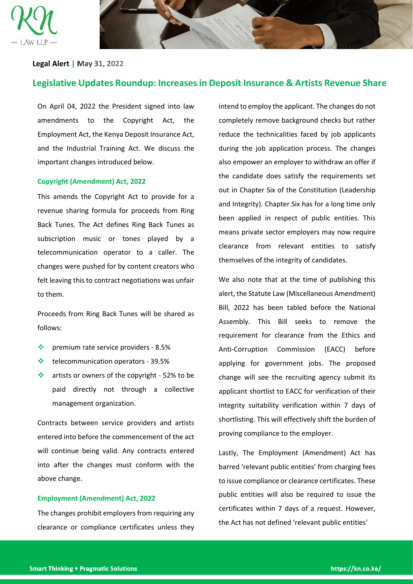



## **Legal Alert |**

# **Legislative Updates Roundup: Increases in Deposit Insurance & Artists Revenue Share**

On April 04, 2022 the President signed into law amendments to the Copyright Act, the Employment Act, the Kenya Deposit Insurance Act, and the Industrial Training Act. We discuss the important changes introduced below.

## **Copyright (Amendment) Act, 2022**

This amends the Copyright Act to provide for a revenue sharing formula for proceeds from Ring Back Tunes. The Act defines Ring Back Tunes as subscription music or tones played by a telecommunication operator to a caller. The changes were pushed for by content creators who felt leaving this to contract negotiations was unfair to them.

Proceeds from Ring Back Tunes will be shared as follows:

- ❖ premium rate service providers 8.5%
- ❖ telecommunication operators 39.5%
- ❖ artists or owners of the copyright 52% to be paid directly not through a collective management organization.

Contracts between service providers and artists entered into before the commencement of the act will continue being valid. Any contracts entered into after the changes must conform with the above change.

## **Employment (Amendment) Act, 2022**

The changes prohibit employers from requiring any clearance or compliance certificates unless they intend to employ the applicant. The changes do not completely remove background checks but rather reduce the technicalities faced by job applicants during the job application process. The changes also empower an employer to withdraw an offer if the candidate does satisfy the requirements set out in Chapter Six of the Constitution (Leadership and Integrity). Chapter Six has for a long time only been applied in respect of public entities. This means private sector employers may now require clearance from relevant entities to satisfy themselves of the integrity of candidates.

We also note that at the time of publishing this alert, the Statute Law (Miscellaneous Amendment) Bill, 2022 has been tabled before the National Assembly. This Bill seeks to remove the requirement for clearance from the Ethics and Anti-Corruption Commission (EACC) before applying for government jobs. The proposed change will see the recruiting agency submit its applicant shortlist to EACC for verification of their integrity suitability verification within 7 days of shortlisting. This will effectively shift the burden of proving compliance to the employer.

Lastly, The Employment (Amendment) Act has barred 'relevant public entities' from charging fees to issue compliance or clearance certificates. These public entities will also be required to issue the certificates within 7 days of a request. However, the Act has not defined 'relevant public entities'